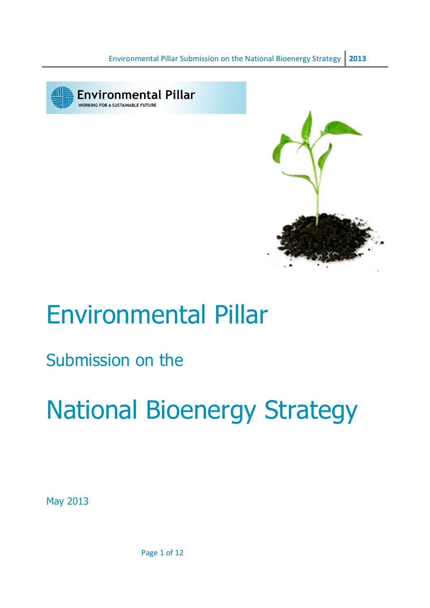



## Environmental Pillar

### Submission on the

# National Bioenergy Strategy

May 2013

Page 1 of 12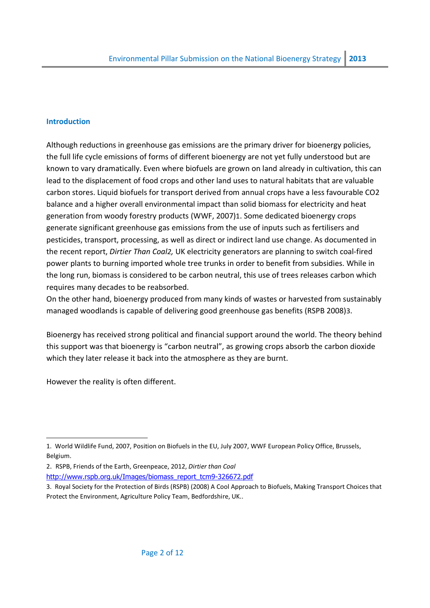#### **Introduction**

Although reductions in greenhouse gas emissions are the primary driver for bioenergy policies, the full life cycle emissions of forms of different bioenergy are not yet fully understood but are known to vary dramatically. Even where biofuels are grown on land already in cultivation, this can lead to the displacement of food crops and other land uses to natural habitats that are valuable carbon stores. Liquid biofuels for transport derived from annual crops have a less favourable CO2 balance and a higher overall environmental impact than solid biomass for electricity and heat generation from woody forestry products (WWF, 2007)1. Some dedicated bioenergy crops generate significant greenhouse gas emissions from the use of inputs such as fertilisers and pesticides, transport, processing, as well as direct or indirect land use change. As documented in the recent report, Dirtier Than Coal2, UK electricity generators are planning to switch coal-fired power plants to burning imported whole tree trunks in order to benefit from subsidies. While in the long run, biomass is considered to be carbon neutral, this use of trees releases carbon which requires many decades to be reabsorbed.

On the other hand, bioenergy produced from many kinds of wastes or harvested from sustainably managed woodlands is capable of delivering good greenhouse gas benefits (RSPB 2008)3.

Bioenergy has received strong political and financial support around the world. The theory behind this support was that bioenergy is "carbon neutral", as growing crops absorb the carbon dioxide which they later release it back into the atmosphere as they are burnt.

However the reality is often different.

 $\overline{a}$ 

- 2. RSPB, Friends of the Earth, Greenpeace, 2012, Dirtier than Coal http://www.rspb.org.uk/Images/biomass\_report\_tcm9-326672.pdf
- 3. Royal Society for the Protection of Birds (RSPB) (2008) A Cool Approach to Biofuels, Making Transport Choices that Protect the Environment, Agriculture Policy Team, Bedfordshire, UK..

<sup>1.</sup> World Wildlife Fund, 2007, Position on Biofuels in the EU, July 2007, WWF European Policy Office, Brussels, Belgium.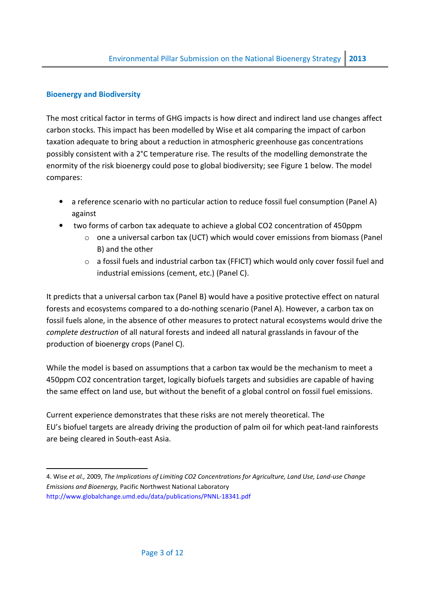#### Bioenergy and Biodiversity

The most critical factor in terms of GHG impacts is how direct and indirect land use changes affect carbon stocks. This impact has been modelled by Wise et al4 comparing the impact of carbon taxation adequate to bring about a reduction in atmospheric greenhouse gas concentrations possibly consistent with a 2°C temperature rise. The results of the modelling demonstrate the enormity of the risk bioenergy could pose to global biodiversity; see Figure 1 below. The model compares:

- a reference scenario with no particular action to reduce fossil fuel consumption (Panel A) against
- two forms of carbon tax adequate to achieve a global CO2 concentration of 450ppm
	- $\circ$  one a universal carbon tax (UCT) which would cover emissions from biomass (Panel B) and the other
	- $\circ$  a fossil fuels and industrial carbon tax (FFICT) which would only cover fossil fuel and industrial emissions (cement, etc.) (Panel C).

It predicts that a universal carbon tax (Panel B) would have a positive protective effect on natural forests and ecosystems compared to a do-nothing scenario (Panel A). However, a carbon tax on fossil fuels alone, in the absence of other measures to protect natural ecosystems would drive the complete destruction of all natural forests and indeed all natural grasslands in favour of the production of bioenergy crops (Panel C).

While the model is based on assumptions that a carbon tax would be the mechanism to meet a 450ppm CO2 concentration target, logically biofuels targets and subsidies are capable of having the same effect on land use, but without the benefit of a global control on fossil fuel emissions.

Current experience demonstrates that these risks are not merely theoretical. The EU's biofuel targets are already driving the production of palm oil for which peat-land rainforests are being cleared in South-east Asia.

l 4. Wise et al., 2009, The Implications of Limiting CO2 Concentrations for Agriculture, Land Use, Land-use Change Emissions and Bioenergy, Pacific Northwest National Laboratory http://www.globalchange.umd.edu/data/publications/PNNL-18341.pdf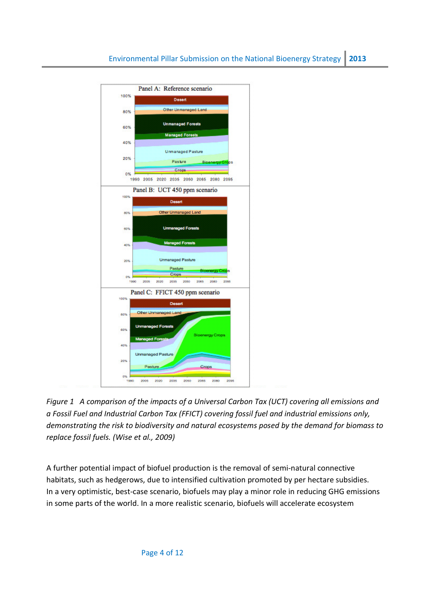

Figure 1 A comparison of the impacts of a Universal Carbon Tax (UCT) covering all emissions and a Fossil Fuel and Industrial Carbon Tax (FFICT) covering fossil fuel and industrial emissions only, demonstrating the risk to biodiversity and natural ecosystems posed by the demand for biomass to replace fossil fuels. (Wise et al., 2009)

A further potential impact of biofuel production is the removal of semi-natural connective habitats, such as hedgerows, due to intensified cultivation promoted by per hectare subsidies. In a very optimistic, best-case scenario, biofuels may play a minor role in reducing GHG emissions in some parts of the world. In a more realistic scenario, biofuels will accelerate ecosystem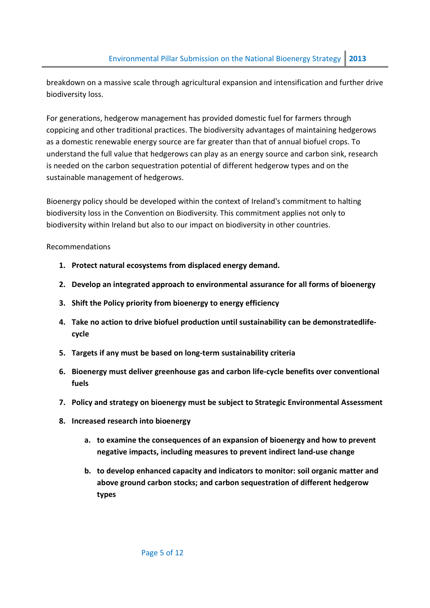breakdown on a massive scale through agricultural expansion and intensification and further drive biodiversity loss.

For generations, hedgerow management has provided domestic fuel for farmers through coppicing and other traditional practices. The biodiversity advantages of maintaining hedgerows as a domestic renewable energy source are far greater than that of annual biofuel crops. To understand the full value that hedgerows can play as an energy source and carbon sink, research is needed on the carbon sequestration potential of different hedgerow types and on the sustainable management of hedgerows.

Bioenergy policy should be developed within the context of Ireland's commitment to halting biodiversity loss in the Convention on Biodiversity. This commitment applies not only to biodiversity within Ireland but also to our impact on biodiversity in other countries.

Recommendations

- 1. Protect natural ecosystems from displaced energy demand.
- 2. Develop an integrated approach to environmental assurance for all forms of bioenergy
- 3. Shift the Policy priority from bioenergy to energy efficiency
- 4. Take no action to drive biofuel production until sustainability can be demonstratedlifecycle
- 5. Targets if any must be based on long-term sustainability criteria
- 6. Bioenergy must deliver greenhouse gas and carbon life-cycle benefits over conventional fuels
- 7. Policy and strategy on bioenergy must be subject to Strategic Environmental Assessment
- 8. Increased research into bioenergy
	- a. to examine the consequences of an expansion of bioenergy and how to prevent negative impacts, including measures to prevent indirect land-use change
	- b. to develop enhanced capacity and indicators to monitor: soil organic matter and above ground carbon stocks; and carbon sequestration of different hedgerow types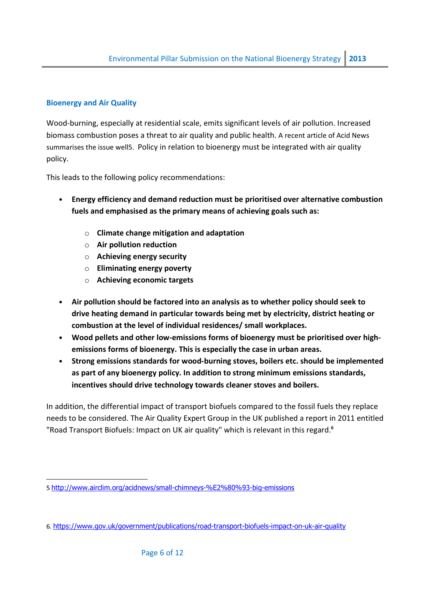#### Bioenergy and Air Quality

l

Wood-burning, especially at residential scale, emits significant levels of air pollution. Increased biomass combustion poses a threat to air quality and public health. A recent article of Acid News summarises the issue well5. Policy in relation to bioenergy must be integrated with air quality policy.

This leads to the following policy recommendations:

- Energy efficiency and demand reduction must be prioritised over alternative combustion fuels and emphasised as the primary means of achieving goals such as:
	- o Climate change mitigation and adaptation
	- $\circ$  Air pollution reduction
	- o Achieving energy security
	- o Eliminating energy poverty
	- o Achieving economic targets
- Air pollution should be factored into an analysis as to whether policy should seek to drive heating demand in particular towards being met by electricity, district heating or combustion at the level of individual residences/ small workplaces.
- Wood pellets and other low-emissions forms of bioenergy must be prioritised over highemissions forms of bioenergy. This is especially the case in urban areas.
- Strong emissions standards for wood-burning stoves, boilers etc. should be implemented as part of any bioenergy policy. In addition to strong minimum emissions standards, incentives should drive technology towards cleaner stoves and boilers.

In addition, the differential impact of transport biofuels compared to the fossil fuels they replace needs to be considered. The Air Quality Expert Group in the UK published a report in 2011 entitled "Road Transport Biofuels: Impact on UK air quality" which is relevant in this regard.<sup>6</sup>

<sup>5</sup> http://www.airclim.org/acidnews/small-chimneys-%E2%80%93-big-emissions

<sup>6.</sup> https://www.gov.uk/government/publications/road-transport-biofuels-impact-on-uk-air-quality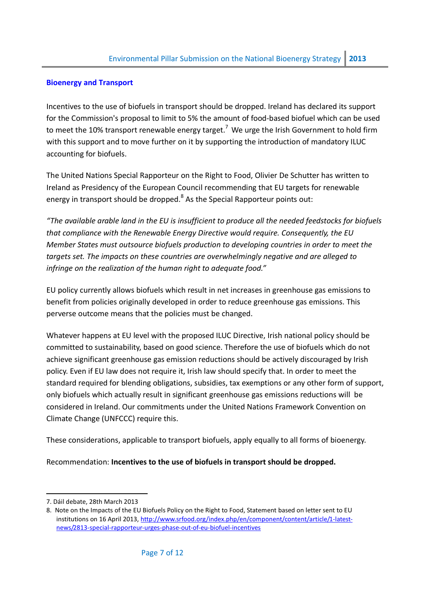#### Bioenergy and Transport

Incentives to the use of biofuels in transport should be dropped. Ireland has declared its support for the Commission's proposal to limit to 5% the amount of food-based biofuel which can be used to meet the 10% transport renewable energy target.<sup>7</sup> We urge the Irish Government to hold firm with this support and to move further on it by supporting the introduction of mandatory ILUC accounting for biofuels.

The United Nations Special Rapporteur on the Right to Food, Olivier De Schutter has written to Ireland as Presidency of the European Council recommending that EU targets for renewable energy in transport should be dropped. $^8$  As the Special Rapporteur points out:

"The available arable land in the EU is insufficient to produce all the needed feedstocks for biofuels that compliance with the Renewable Energy Directive would require. Consequently, the EU Member States must outsource biofuels production to developing countries in order to meet the targets set. The impacts on these countries are overwhelmingly negative and are alleged to infringe on the realization of the human right to adequate food."

EU policy currently allows biofuels which result in net increases in greenhouse gas emissions to benefit from policies originally developed in order to reduce greenhouse gas emissions. This perverse outcome means that the policies must be changed.

Whatever happens at EU level with the proposed ILUC Directive, Irish national policy should be committed to sustainability, based on good science. Therefore the use of biofuels which do not achieve significant greenhouse gas emission reductions should be actively discouraged by Irish policy. Even if EU law does not require it, Irish law should specify that. In order to meet the standard required for blending obligations, subsidies, tax exemptions or any other form of support, only biofuels which actually result in significant greenhouse gas emissions reductions will be considered in Ireland. Our commitments under the United Nations Framework Convention on Climate Change (UNFCCC) require this.

These considerations, applicable to transport biofuels, apply equally to all forms of bioenergy.

Recommendation: Incentives to the use of biofuels in transport should be dropped.

l

<sup>7.</sup> Dáil debate, 28th March 2013

<sup>8.</sup> Note on the Impacts of the EU Biofuels Policy on the Right to Food, Statement based on letter sent to EU institutions on 16 April 2013, http://www.srfood.org/index.php/en/component/content/article/1-latestnews/2813-special-rapporteur-urges-phase-out-of-eu-biofuel-incentives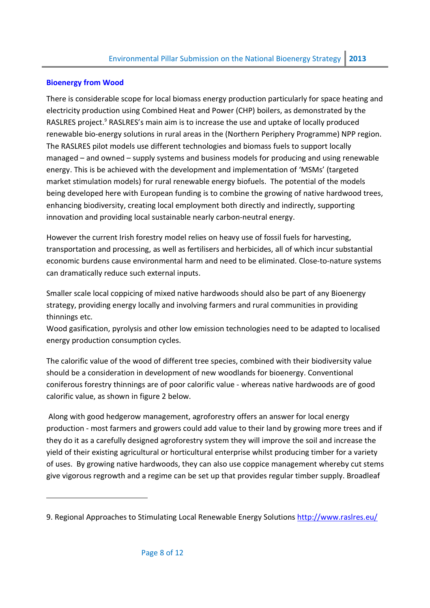#### Bioenergy from Wood

l

There is considerable scope for local biomass energy production particularly for space heating and electricity production using Combined Heat and Power (CHP) boilers, as demonstrated by the RASLRES project.<sup>9</sup> RASLRES's main aim is to increase the use and uptake of locally produced renewable bio-energy solutions in rural areas in the (Northern Periphery Programme) NPP region. The RASLRES pilot models use different technologies and biomass fuels to support locally managed – and owned – supply systems and business models for producing and using renewable energy. This is be achieved with the development and implementation of 'MSMs' (targeted market stimulation models) for rural renewable energy biofuels. The potential of the models being developed here with European funding is to combine the growing of native hardwood trees, enhancing biodiversity, creating local employment both directly and indirectly, supporting innovation and providing local sustainable nearly carbon-neutral energy.

However the current Irish forestry model relies on heavy use of fossil fuels for harvesting, transportation and processing, as well as fertilisers and herbicides, all of which incur substantial economic burdens cause environmental harm and need to be eliminated. Close-to-nature systems can dramatically reduce such external inputs.

Smaller scale local coppicing of mixed native hardwoods should also be part of any Bioenergy strategy, providing energy locally and involving farmers and rural communities in providing thinnings etc.

Wood gasification, pyrolysis and other low emission technologies need to be adapted to localised energy production consumption cycles.

The calorific value of the wood of different tree species, combined with their biodiversity value should be a consideration in development of new woodlands for bioenergy. Conventional coniferous forestry thinnings are of poor calorific value - whereas native hardwoods are of good calorific value, as shown in figure 2 below.

 Along with good hedgerow management, agroforestry offers an answer for local energy production - most farmers and growers could add value to their land by growing more trees and if they do it as a carefully designed agroforestry system they will improve the soil and increase the yield of their existing agricultural or horticultural enterprise whilst producing timber for a variety of uses. By growing native hardwoods, they can also use coppice management whereby cut stems give vigorous regrowth and a regime can be set up that provides regular timber supply. Broadleaf

<sup>9.</sup> Regional Approaches to Stimulating Local Renewable Energy Solutions http://www.raslres.eu/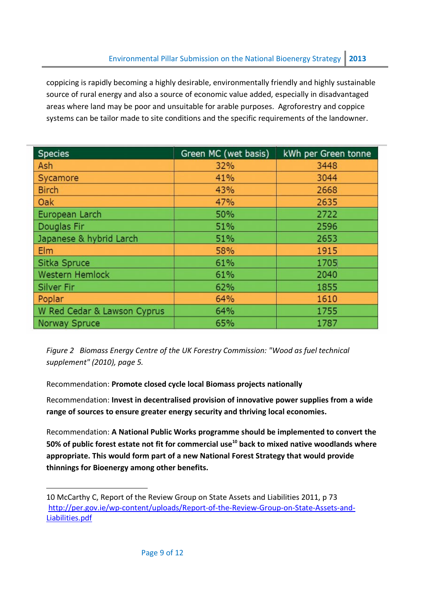coppicing is rapidly becoming a highly desirable, environmentally friendly and highly sustainable source of rural energy and also a source of economic value added, especially in disadvantaged areas where land may be poor and unsuitable for arable purposes. Agroforestry and coppice systems can be tailor made to site conditions and the specific requirements of the landowner.

| <b>Species</b>              | Green MC (wet basis) | kWh per Green tonne |
|-----------------------------|----------------------|---------------------|
| Ash                         | 32%                  | 3448                |
| Sycamore                    | 41%                  | 3044                |
| <b>Birch</b>                | 43%                  | 2668                |
| Oak                         | 47%                  | 2635                |
| European Larch              | 50%                  | 2722                |
| Douglas Fir                 | 51%                  | 2596                |
| Japanese & hybrid Larch     | 51%                  | 2653                |
| Elm                         | 58%                  | 1915                |
| Sitka Spruce                | 61%                  | 1705                |
| <b>Western Hemlock</b>      | 61%                  | 2040                |
| <b>Silver Fir</b>           | 62%                  | 1855                |
| Poplar                      | 64%                  | 1610                |
| W Red Cedar & Lawson Cyprus | 64%                  | 1755                |
| <b>Norway Spruce</b>        | 65%                  | 1787                |

Figure 2 Biomass Energy Centre of the UK Forestry Commission: "Wood as fuel technical supplement" (2010), page 5.

Recommendation: Promote closed cycle local Biomass projects nationally

Recommendation: Invest in decentralised provision of innovative power supplies from a wide range of sources to ensure greater energy security and thriving local economies.

Recommendation: A National Public Works programme should be implemented to convert the 50% of public forest estate not fit for commercial use $10$  back to mixed native woodlands where appropriate. This would form part of a new National Forest Strategy that would provide thinnings for Bioenergy among other benefits.

l

<sup>10</sup> McCarthy C, Report of the Review Group on State Assets and Liabilities 2011, p 73 http://per.gov.ie/wp-content/uploads/Report-of-the-Review-Group-on-State-Assets-and-Liabilities.pdf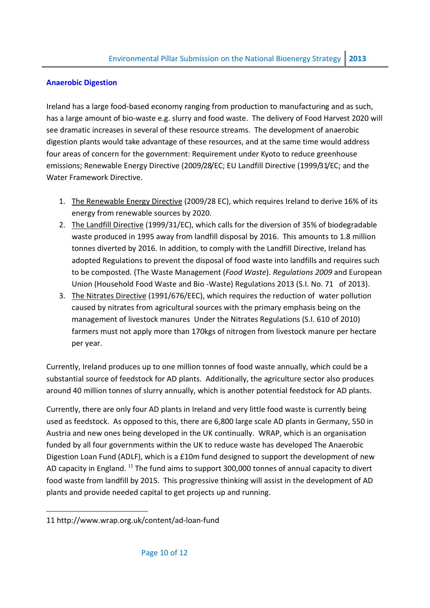#### Anaerobic Digestion

Ireland has a large food-based economy ranging from production to manufacturing and as such, has a large amount of bio-waste e.g. slurry and food waste. The delivery of Food Harvest 2020 will see dramatic increases in several of these resource streams. The development of anaerobic digestion plants would take advantage of these resources, and at the same time would address four areas of concern for the government: Requirement under Kyoto to reduce greenhouse emissions; Renewable Energy Directive (2009/28/EC; EU Landfill Directive (1999/31/EC; and the Water Framework Directive.

- 1. The Renewable Energy Directive (2009/28 EC), which requires Ireland to derive 16% of its energy from renewable sources by 2020.
- 2. The Landfill Directive (1999/31/EC), which calls for the diversion of 35% of biodegradable waste produced in 1995 away from landfill disposal by 2016. This amounts to 1.8 million tonnes diverted by 2016. In addition, to comply with the Landfill Directive, Ireland has adopted Regulations to prevent the disposal of food waste into landfills and requires such to be composted. (The Waste Management (Food Waste). Regulations 2009 and European Union (Household Food Waste and Bio -Waste) Regulations 2013 (S.I. No. 71 of 2013).
- 3. The Nitrates Directive (1991/676/EEC), which requires the reduction of water pollution caused by nitrates from agricultural sources with the primary emphasis being on the management of livestock manures Under the Nitrates Regulations (S.I. 610 of 2010) farmers must not apply more than 170kgs of nitrogen from livestock manure per hectare per year.

Currently, Ireland produces up to one million tonnes of food waste annually, which could be a substantial source of feedstock for AD plants. Additionally, the agriculture sector also produces around 40 million tonnes of slurry annually, which is another potential feedstock for AD plants.

Currently, there are only four AD plants in Ireland and very little food waste is currently being used as feedstock. As opposed to this, there are 6,800 large scale AD plants in Germany, 550 in Austria and new ones being developed in the UK continually. WRAP, which is an organisation funded by all four governments within the UK to reduce waste has developed The Anaerobic Digestion Loan Fund (ADLF), which is a £10m fund designed to support the development of new AD capacity in England.<sup>11</sup> The fund aims to support 300,000 tonnes of annual capacity to divert food waste from landfill by 2015. This progressive thinking will assist in the development of AD plants and provide needed capital to get projects up and running.

l

<sup>11</sup> http://www.wrap.org.uk/content/ad-loan-fund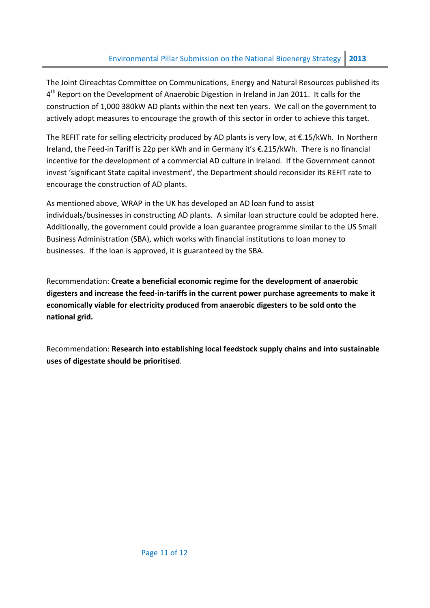The Joint Oireachtas Committee on Communications, Energy and Natural Resources published its 4<sup>th</sup> Report on the Development of Anaerobic Digestion in Ireland in Jan 2011. It calls for the construction of 1,000 380kW AD plants within the next ten years. We call on the government to actively adopt measures to encourage the growth of this sector in order to achieve this target.

The REFIT rate for selling electricity produced by AD plants is very low, at €.15/kWh. In Northern Ireland, the Feed-in Tariff is 22p per kWh and in Germany it's €.215/kWh. There is no financial incentive for the development of a commercial AD culture in Ireland. If the Government cannot invest 'significant State capital investment', the Department should reconsider its REFIT rate to encourage the construction of AD plants.

As mentioned above, WRAP in the UK has developed an AD loan fund to assist individuals/businesses in constructing AD plants. A similar loan structure could be adopted here. Additionally, the government could provide a loan guarantee programme similar to the US Small Business Administration (SBA), which works with financial institutions to loan money to businesses. If the loan is approved, it is guaranteed by the SBA.

Recommendation: Create a beneficial economic regime for the development of anaerobic digesters and increase the feed-in-tariffs in the current power purchase agreements to make it economically viable for electricity produced from anaerobic digesters to be sold onto the national grid.

Recommendation: Research into establishing local feedstock supply chains and into sustainable uses of digestate should be prioritised.